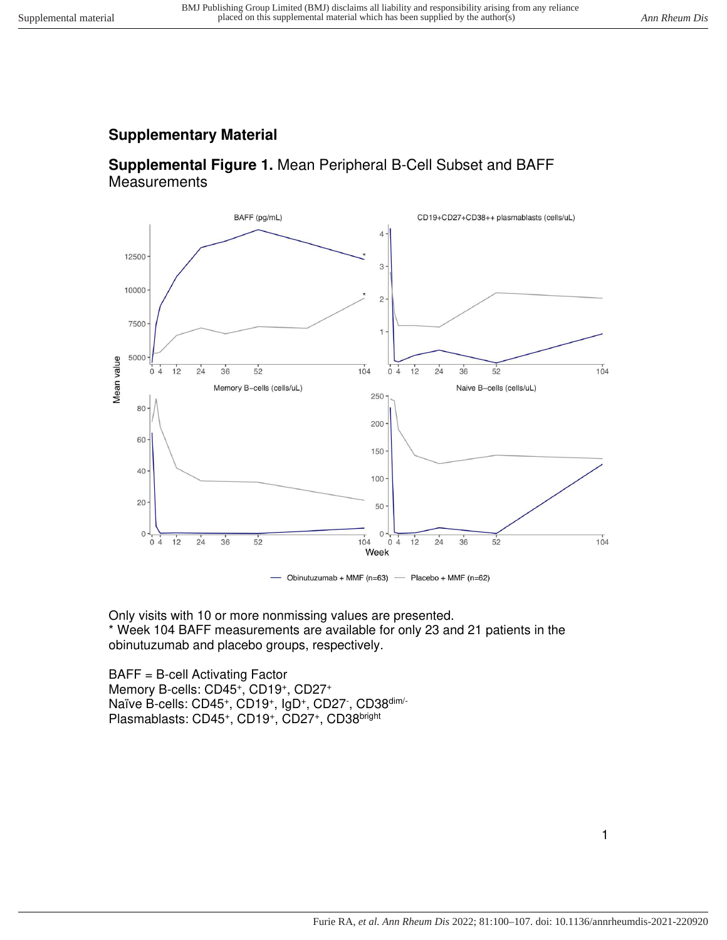## **Supplementary Material**

## **Supplemental Figure 1.** Mean Peripheral B-Cell Subset and BAFF **Measurements**



Only visits with 10 or more nonmissing values are presented. \* Week 104 BAFF measurements are available for only 23 and 21 patients in the obinutuzumab and placebo groups, respectively.

BAFF = B-cell Activating Factor Memory B-cells: CD45<sup>+</sup>, CD19<sup>+</sup>, CD27<sup>+</sup> Naïve B-cells: CD45+, CD19+, IgD+, CD27<sup>-</sup>, CD38<sup>dim/-</sup> Plasmablasts: CD45<sup>+</sup>, CD19<sup>+</sup>, CD27<sup>+</sup>, CD38<sup>bright</sup>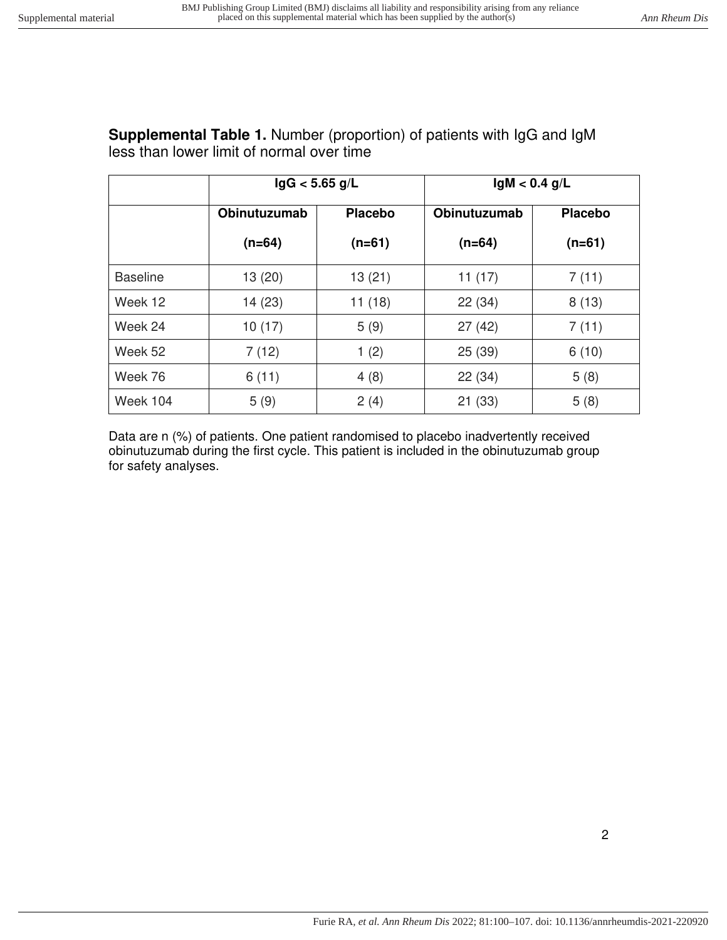|                 | lgG < 5.65 g/L |                | $lgM < 0.4$ g/L     |                |
|-----------------|----------------|----------------|---------------------|----------------|
|                 | Obinutuzumab   | <b>Placebo</b> | <b>Obinutuzumab</b> | <b>Placebo</b> |
|                 | $(n=64)$       | $(n=61)$       | $(n=64)$            | $(n=61)$       |
| <b>Baseline</b> | 13(20)         | 13(21)         | 11 $(17)$           | 7(11)          |
| Week 12         | 14(23)         | 11(18)         | 22(34)              | 8(13)          |
| Week 24         | 10(17)         | 5(9)           | 27(42)              | 7(11)          |
| Week 52         | 7(12)          | 1(2)           | 25(39)              | 6(10)          |
| Week 76         | 6(11)          | 4(8)           | 22(34)              | 5(8)           |
| Week 104        | 5(9)           | 2(4)           | 21 (33)             | 5(8)           |

## **Supplemental Table 1.** Number (proportion) of patients with IgG and IgM less than lower limit of normal over time

Data are n (%) of patients. One patient randomised to placebo inadvertently received obinutuzumab during the first cycle. This patient is included in the obinutuzumab group for safety analyses.